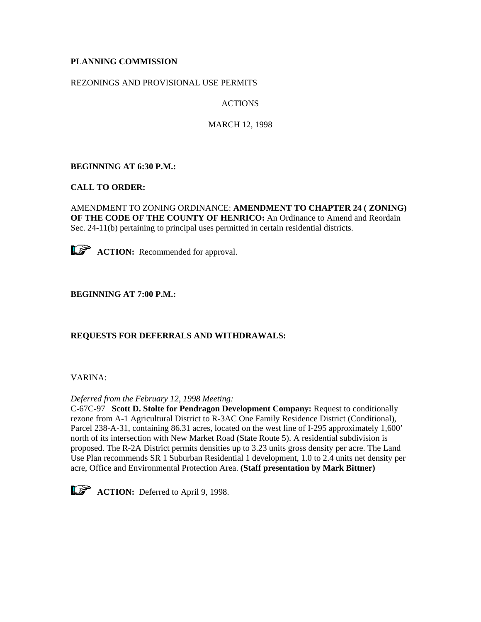# **PLANNING COMMISSION**

## REZONINGS AND PROVISIONAL USE PERMITS

# ACTIONS

MARCH 12, 1998

## **BEGINNING AT 6:30 P.M.:**

## **CALL TO ORDER:**

AMENDMENT TO ZONING ORDINANCE: **AMENDMENT TO CHAPTER 24 ( ZONING) OF THE CODE OF THE COUNTY OF HENRICO:** An Ordinance to Amend and Reordain Sec. 24-11(b) pertaining to principal uses permitted in certain residential districts.



## **BEGINNING AT 7:00 P.M.:**

## **REQUESTS FOR DEFERRALS AND WITHDRAWALS:**

## VARINA:

## *Deferred from the February 12, 1998 Meeting:*

C-67C-97 **Scott D. Stolte for Pendragon Development Company:** Request to conditionally rezone from A-1 Agricultural District to R-3AC One Family Residence District (Conditional), Parcel 238-A-31, containing 86.31 acres, located on the west line of I-295 approximately 1,600' north of its intersection with New Market Road (State Route 5). A residential subdivision is proposed. The R-2A District permits densities up to 3.23 units gross density per acre. The Land Use Plan recommends SR 1 Suburban Residential 1 development, 1.0 to 2.4 units net density per acre, Office and Environmental Protection Area. **(Staff presentation by Mark Bittner)**



**ACTION:** Deferred to April 9, 1998.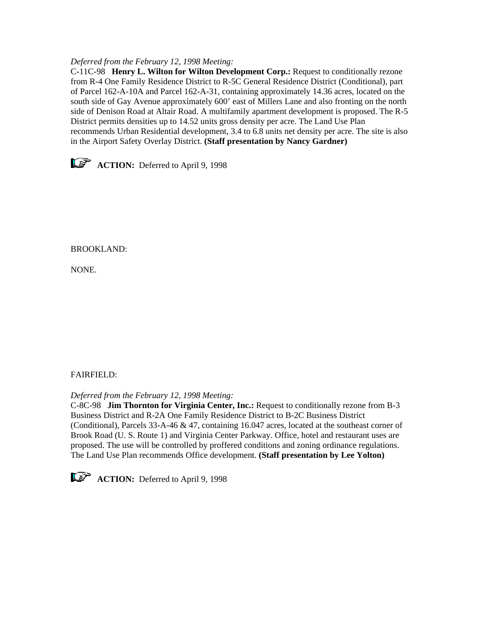#### *Deferred from the February 12, 1998 Meeting:*

C-11C-98 **Henry L. Wilton for Wilton Development Corp.:** Request to conditionally rezone from R-4 One Family Residence District to R-5C General Residence District (Conditional), part of Parcel 162-A-10A and Parcel 162-A-31, containing approximately 14.36 acres, located on the south side of Gay Avenue approximately 600' east of Millers Lane and also fronting on the north side of Denison Road at Altair Road. A multifamily apartment development is proposed. The R-5 District permits densities up to 14.52 units gross density per acre. The Land Use Plan recommends Urban Residential development, 3.4 to 6.8 units net density per acre. The site is also in the Airport Safety Overlay District. **(Staff presentation by Nancy Gardner)**



BROOKLAND:

NONE.

## FAIRFIELD:

*Deferred from the February 12, 1998 Meeting:*

C-8C-98 **Jim Thornton for Virginia Center, Inc.:** Request to conditionally rezone from B-3 Business District and R-2A One Family Residence District to B-2C Business District (Conditional), Parcels 33-A-46 & 47, containing 16.047 acres, located at the southeast corner of Brook Road (U. S. Route 1) and Virginia Center Parkway. Office, hotel and restaurant uses are proposed. The use will be controlled by proffered conditions and zoning ordinance regulations. The Land Use Plan recommends Office development. **(Staff presentation by Lee Yolton)**



**ACTION:** Deferred to April 9, 1998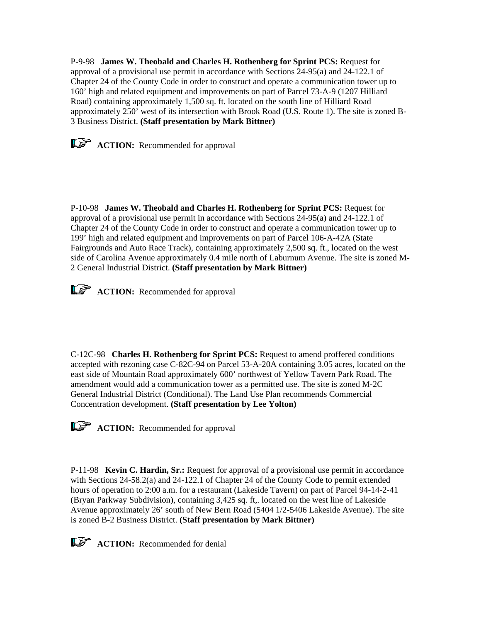P-9-98 **James W. Theobald and Charles H. Rothenberg for Sprint PCS:** Request for approval of a provisional use permit in accordance with Sections 24-95(a) and 24-122.1 of Chapter 24 of the County Code in order to construct and operate a communication tower up to 160' high and related equipment and improvements on part of Parcel 73-A-9 (1207 Hilliard Road) containing approximately 1,500 sq. ft. located on the south line of Hilliard Road approximately 250' west of its intersection with Brook Road (U.S. Route 1). The site is zoned B-3 Business District. **(Staff presentation by Mark Bittner)**



**ACTION:** Recommended for approval

P-10-98 **James W. Theobald and Charles H. Rothenberg for Sprint PCS:** Request for approval of a provisional use permit in accordance with Sections 24-95(a) and 24-122.1 of Chapter 24 of the County Code in order to construct and operate a communication tower up to 199' high and related equipment and improvements on part of Parcel 106-A-42A (State Fairgrounds and Auto Race Track), containing approximately 2,500 sq. ft., located on the west side of Carolina Avenue approximately 0.4 mile north of Laburnum Avenue. The site is zoned M-2 General Industrial District. **(Staff presentation by Mark Bittner)**

**ACTION:** Recommended for approval

C-12C-98 **Charles H. Rothenberg for Sprint PCS:** Request to amend proffered conditions accepted with rezoning case C-82C-94 on Parcel 53-A-20A containing 3.05 acres, located on the east side of Mountain Road approximately 600' northwest of Yellow Tavern Park Road. The amendment would add a communication tower as a permitted use. The site is zoned M-2C General Industrial District (Conditional). The Land Use Plan recommends Commercial Concentration development. **(Staff presentation by Lee Yolton)**



**ACTION:** Recommended for approval

P-11-98 **Kevin C. Hardin, Sr.:** Request for approval of a provisional use permit in accordance with Sections 24-58.2(a) and 24-122.1 of Chapter 24 of the County Code to permit extended hours of operation to 2:00 a.m. for a restaurant (Lakeside Tavern) on part of Parcel 94-14-2-41 (Bryan Parkway Subdivision), containing 3,425 sq. ft,. located on the west line of Lakeside Avenue approximately 26' south of New Bern Road (5404 1/2-5406 Lakeside Avenue). The site is zoned B-2 Business District. **(Staff presentation by Mark Bittner)**



**ACTION:** Recommended for denial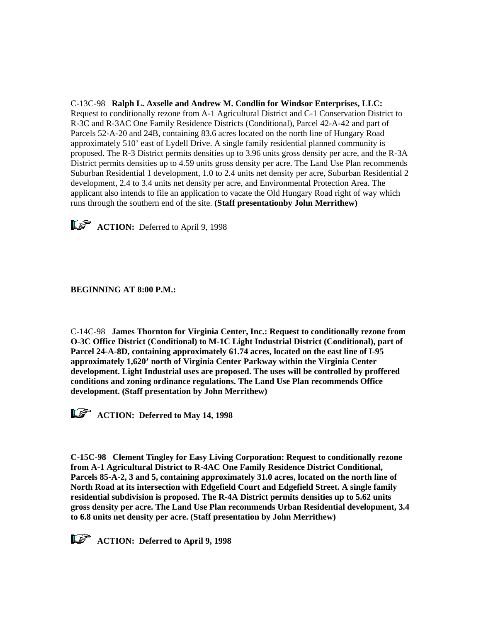C-13C-98 **Ralph L. Axselle and Andrew M. Condlin for Windsor Enterprises, LLC:** Request to conditionally rezone from A-1 Agricultural District and C-1 Conservation District to R-3C and R-3AC One Family Residence Districts (Conditional), Parcel 42-A-42 and part of Parcels 52-A-20 and 24B, containing 83.6 acres located on the north line of Hungary Road approximately 510' east of Lydell Drive. A single family residential planned community is proposed. The R-3 District permits densities up to 3.96 units gross density per acre, and the R-3A District permits densities up to 4.59 units gross density per acre. The Land Use Plan recommends Suburban Residential 1 development, 1.0 to 2.4 units net density per acre, Suburban Residential 2 development, 2.4 to 3.4 units net density per acre, and Environmental Protection Area. The applicant also intends to file an application to vacate the Old Hungary Road right of way which runs through the southern end of the site. **(Staff presentationby John Merrithew)**



**ACTION:** Deferred to April 9, 1998

## **BEGINNING AT 8:00 P.M.:**

C-14C-98 **James Thornton for Virginia Center, Inc.: Request to conditionally rezone from O-3C Office District (Conditional) to M-1C Light Industrial District (Conditional), part of Parcel 24-A-8D, containing approximately 61.74 acres, located on the east line of I-95 approximately 1,620' north of Virginia Center Parkway within the Virginia Center development. Light Industrial uses are proposed. The uses will be controlled by proffered conditions and zoning ordinance regulations. The Land Use Plan recommends Office development. (Staff presentation by John Merrithew)**



*ACTION: Deferred to May 14, 1998* 

**C-15C-98 Clement Tingley for Easy Living Corporation: Request to conditionally rezone from A-1 Agricultural District to R-4AC One Family Residence District Conditional, Parcels 85-A-2, 3 and 5, containing approximately 31.0 acres, located on the north line of North Road at its intersection with Edgefield Court and Edgefield Street. A single family residential subdivision is proposed. The R-4A District permits densities up to 5.62 units gross density per acre. The Land Use Plan recommends Urban Residential development, 3.4 to 6.8 units net density per acre. (Staff presentation by John Merrithew)**

*ACTION: Deferred to April 9, 1998*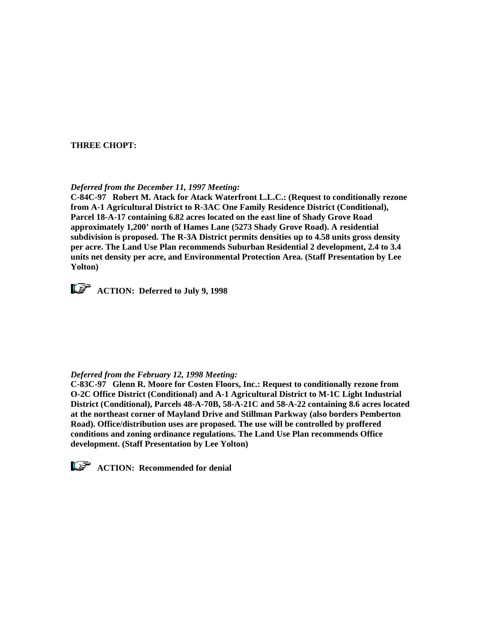#### **THREE CHOPT:**

#### *Deferred from the December 11, 1997 Meeting:*

**C-84C-97 Robert M. Atack for Atack Waterfront L.L.C.: (Request to conditionally rezone from A-1 Agricultural District to R-3AC One Family Residence District (Conditional), Parcel 18-A-17 containing 6.82 acres located on the east line of Shady Grove Road approximately 1,200' north of Hames Lane (5273 Shady Grove Road). A residential subdivision is proposed. The R-3A District permits densities up to 4.58 units gross density per acre. The Land Use Plan recommends Suburban Residential 2 development, 2.4 to 3.4 units net density per acre, and Environmental Protection Area. (Staff Presentation by Lee Yolton)** 



*ACTION:* Deferred to July 9, 1998

#### *Deferred from the February 12, 1998 Meeting:*

**C-83C-97 Glenn R. Moore for Costen Floors, Inc.: Request to conditionally rezone from O-2C Office District (Conditional) and A-1 Agricultural District to M-1C Light Industrial District (Conditional), Parcels 48-A-70B, 58-A-21C and 58-A-22 containing 8.6 acres located at the northeast corner of Mayland Drive and Stillman Parkway (also borders Pemberton Road). Office/distribution uses are proposed. The use will be controlled by proffered conditions and zoning ordinance regulations. The Land Use Plan recommends Office development. (Staff Presentation by Lee Yolton)**



*ACTION:* Recommended for denial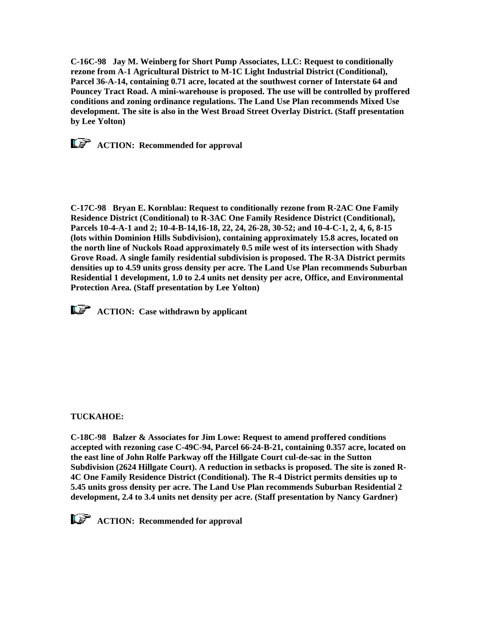**C-16C-98 Jay M. Weinberg for Short Pump Associates, LLC: Request to conditionally rezone from A-1 Agricultural District to M-1C Light Industrial District (Conditional), Parcel 36-A-14, containing 0.71 acre, located at the southwest corner of Interstate 64 and Pouncey Tract Road. A mini-warehouse is proposed. The use will be controlled by proffered conditions and zoning ordinance regulations. The Land Use Plan recommends Mixed Use development. The site is also in the West Broad Street Overlay District. (Staff presentation by Lee Yolton)**

*ACTION:* Recommended for approval

**C-17C-98 Bryan E. Kornblau: Request to conditionally rezone from R-2AC One Family Residence District (Conditional) to R-3AC One Family Residence District (Conditional), Parcels 10-4-A-1 and 2; 10-4-B-14,16-18, 22, 24, 26-28, 30-52; and 10-4-C-1, 2, 4, 6, 8-15 (lots within Dominion Hills Subdivision), containing approximately 15.8 acres, located on the north line of Nuckols Road approximately 0.5 mile west of its intersection with Shady Grove Road. A single family residential subdivision is proposed. The R-3A District permits densities up to 4.59 units gross density per acre. The Land Use Plan recommends Suburban Residential 1 development, 1.0 to 2.4 units net density per acre, Office, and Environmental Protection Area. (Staff presentation by Lee Yolton)** 

*ACTION:* Case withdrawn by applicant

## **TUCKAHOE:**

**C-18C-98 Balzer & Associates for Jim Lowe: Request to amend proffered conditions accepted with rezoning case C-49C-94, Parcel 66-24-B-21, containing 0.357 acre, located on the east line of John Rolfe Parkway off the Hillgate Court cul-de-sac in the Sutton Subdivision (2624 Hillgate Court). A reduction in setbacks is proposed. The site is zoned R-4C One Family Residence District (Conditional). The R-4 District permits densities up to 5.45 units gross density per acre. The Land Use Plan recommends Suburban Residential 2 development, 2.4 to 3.4 units net density per acre. (Staff presentation by Nancy Gardner)**

*ACTION:* Recommended for approval